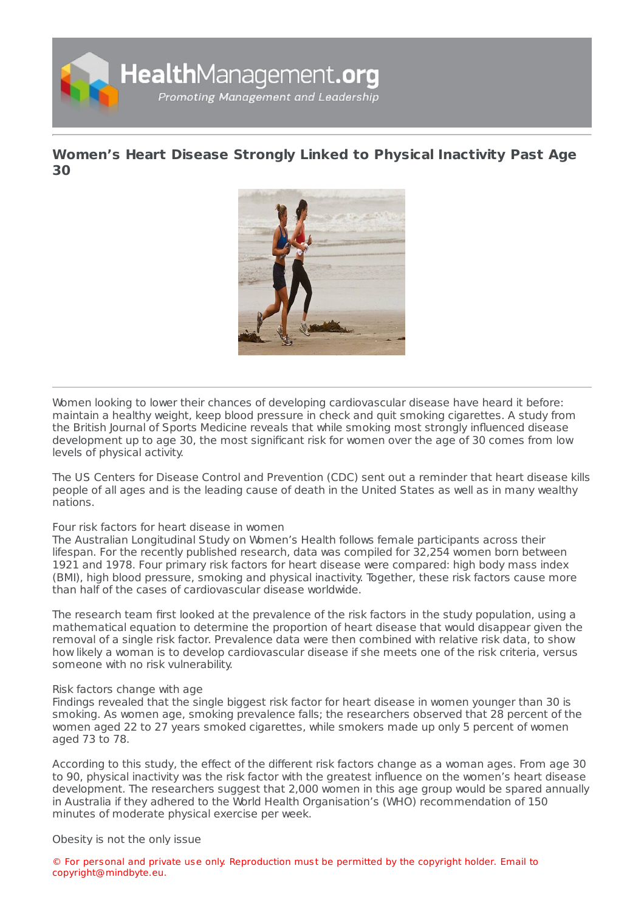

## **[Women's](https://healthmanagement.org/s/women-s-heart-disease-strongly-linked-to-physical-inactivity-past-age-30) Heart Disease Strongly Linked to Physical Inactivity Past Age 30**



Women looking to lower their chances of developing cardiovascular disease have heard it before: maintain a healthy weight, keep blood pressure in check and quit smoking cigarettes. A study from the British Journal of Sports Medicine reveals that while smoking most strongly influenced disease development up to age 30, the most significant risk for women over the age of 30 comes from low levels of physical activity.

The US Centers for Disease Control and Prevention (CDC) sent out a reminder that heart disease kills people of all ages and is the leading cause of death in the United States as well as in many wealthy nations.

## Four risk factors for heart disease in women

The Australian Longitudinal Study on Women's Health follows female participants across their lifespan. For the recently published research, data was compiled for 32,254 women born between 1921 and 1978. Four primary risk factors for heart disease were compared: high body mass index (BMI), high blood pressure, smoking and physical inactivity. Together, these risk factors cause more than half of the cases of cardiovascular disease worldwide.

The research team first looked at the prevalence of the risk factors in the study population, using a mathematical equation to determine the proportion of heart disease that would disappear given the removal of a single risk factor. Prevalence data were then combined with relative risk data, to show how likely a woman is to develop cardiovascular disease if she meets one of the risk criteria, versus someone with no risk vulnerability.

## Risk factors change with age

Findings revealed that the single biggest risk factor for heart disease in women younger than 30 is smoking. As women age, smoking prevalence falls; the researchers observed that 28 percent of the women aged 22 to 27 years smoked cigarettes, while smokers made up only 5 percent of women aged 73 to 78.

According to this study, the effect of the different risk factors change as a woman ages. From age 30 to 90, physical inactivity was the risk factor with the greatest influence on the women's heart disease development. The researchers suggest that 2,000 women in this age group would be spared annually in Australia if they adhered to the World Health Organisation's (WHO) recommendation of 150 minutes of moderate physical exercise per week.

Obesity is not the only issue

© For personal and private use only. Reproduction must be permitted by the copyright holder. Email to copyright@mindbyte.eu.